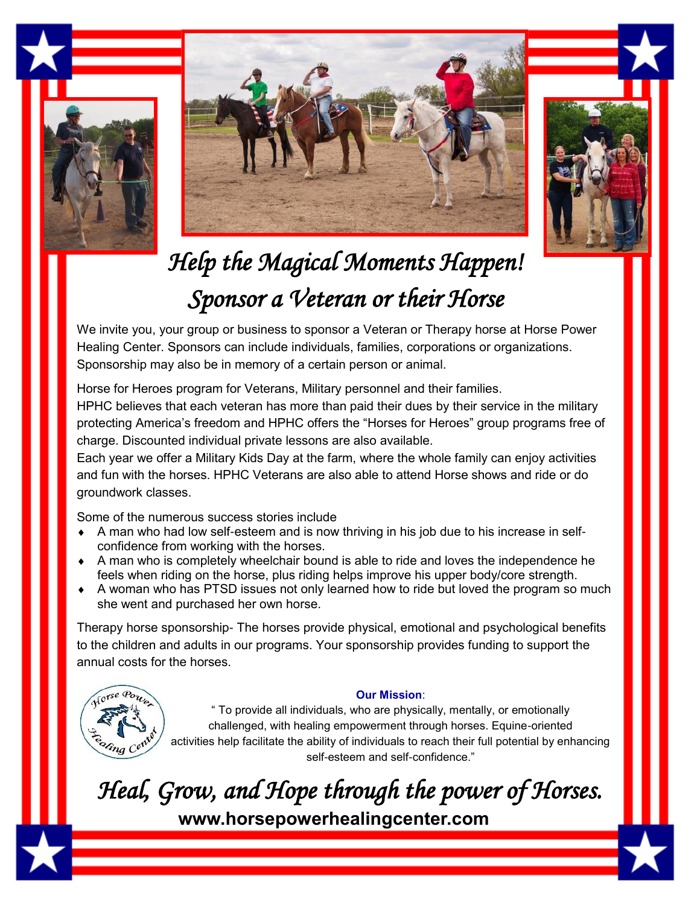





## *Help the Magical Moments Happen! Sponsor a Veteran or their Horse*

We invite you, your group or business to sponsor a Veteran or Therapy horse at Horse Power Healing Center. Sponsors can include individuals, families, corporations or organizations. Sponsorship may also be in memory of a certain person or animal.

Horse for Heroes program for Veterans, Military personnel and their families.

HPHC believes that each veteran has more than paid their dues by their service in the military protecting America's freedom and HPHC offers the "Horses for Heroes" group programs free of charge. Discounted individual private lessons are also available.

Each year we offer a Military Kids Day at the farm, where the whole family can enjoy activities and fun with the horses. HPHC Veterans are also able to attend Horse shows and ride or do groundwork classes.

Some of the numerous success stories include

- A man who had low self-esteem and is now thriving in his job due to his increase in selfconfidence from working with the horses.
- A man who is completely wheelchair bound is able to ride and loves the independence he feels when riding on the horse, plus riding helps improve his upper body/core strength.
- A woman who has PTSD issues not only learned how to ride but loved the program so much she went and purchased her own horse.

Therapy horse sponsorship- The horses provide physical, emotional and psychological benefits to the children and adults in our programs. Your sponsorship provides funding to support the annual costs for the horses.



## **Our Mission**:

" To provide all individuals, who are physically, mentally, or emotionally challenged, with healing empowerment through horses. Equine-oriented activities help facilitate the ability of individuals to reach their full potential by enhancing self-esteem and self-confidence."

*Heal, Grow, and Hope through the power of Horses.*  **www.horsepowerhealingcenter.com**